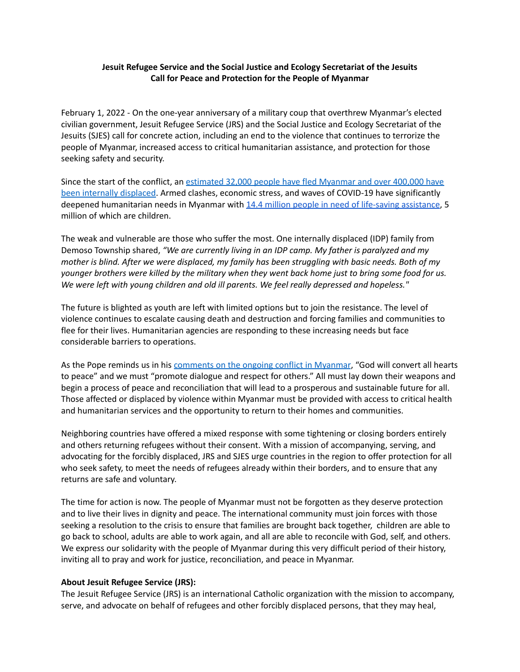## **Jesuit Refugee Service and the Social Justice and Ecology Secretariat of the Jesuits Call for Peace and Protection for the People of Myanmar**

February 1, 2022 - On the one-year anniversary of a military coup that overthrew Myanmar's elected civilian government, Jesuit Refugee Service (JRS) and the Social Justice and Ecology Secretariat of the Jesuits (SJES) call for concrete action, including an end to the violence that continues to terrorize the people of Myanmar, increased access to critical humanitarian assistance, and protection for those seeking safety and security.

Since the start of the conflict, an [estimated](https://reporting.unhcr.org/document/1326) 32,000 people have fled Myanmar and over 400,000 have been internally [displaced.](https://reporting.unhcr.org/document/1326) Armed clashes, economic stress, and waves of COVID-19 have significantly deepened humanitarian needs in Myanmar with 14.4 million people in need of life-saving [assistance](https://gho.unocha.org/), 5 million of which are children.

The weak and vulnerable are those who suffer the most. One internally displaced (IDP) family from Demoso Township shared, *"We are currently living in an IDP camp. My father is paralyzed and my* mother is blind. After we were displaced, my family has been struggling with basic needs. Both of my younger brothers were killed by the military when they went back home just to bring some food for us. *We were left with young children and old ill parents. We feel really depressed and hopeless."*

The future is blighted as youth are left with limited options but to join the resistance. The level of violence continues to escalate causing death and destruction and forcing families and communities to flee for their lives. Humanitarian agencies are responding to these increasing needs but face considerable barriers to operations.

As the Pope reminds us in his [comments](https://www.vaticannews.va/en/pope/news/2021-05/pope-francis-on-myanmar-may-god-convert-all-hearts-to-peace.html) on the ongoing conflict in Myanmar, "God will convert all hearts to peace" and we must "promote dialogue and respect for others." All must lay down their weapons and begin a process of peace and reconciliation that will lead to a prosperous and sustainable future for all. Those affected or displaced by violence within Myanmar must be provided with access to critical health and humanitarian services and the opportunity to return to their homes and communities.

Neighboring countries have offered a mixed response with some tightening or closing borders entirely and others returning refugees without their consent. With a mission of accompanying, serving, and advocating for the forcibly displaced, JRS and SJES urge countries in the region to offer protection for all who seek safety, to meet the needs of refugees already within their borders, and to ensure that any returns are safe and voluntary.

The time for action is now. The people of Myanmar must not be forgotten as they deserve protection and to live their lives in dignity and peace. The international community must join forces with those seeking a resolution to the crisis to ensure that families are brought back together, children are able to go back to school, adults are able to work again, and all are able to reconcile with God, self, and others. We express our solidarity with the people of Myanmar during this very difficult period of their history, inviting all to pray and work for justice, reconciliation, and peace in Myanmar.

## **About Jesuit Refugee Service (JRS):**

The Jesuit Refugee Service (JRS) is an international Catholic organization with the mission to accompany, serve, and advocate on behalf of refugees and other forcibly displaced persons, that they may heal,